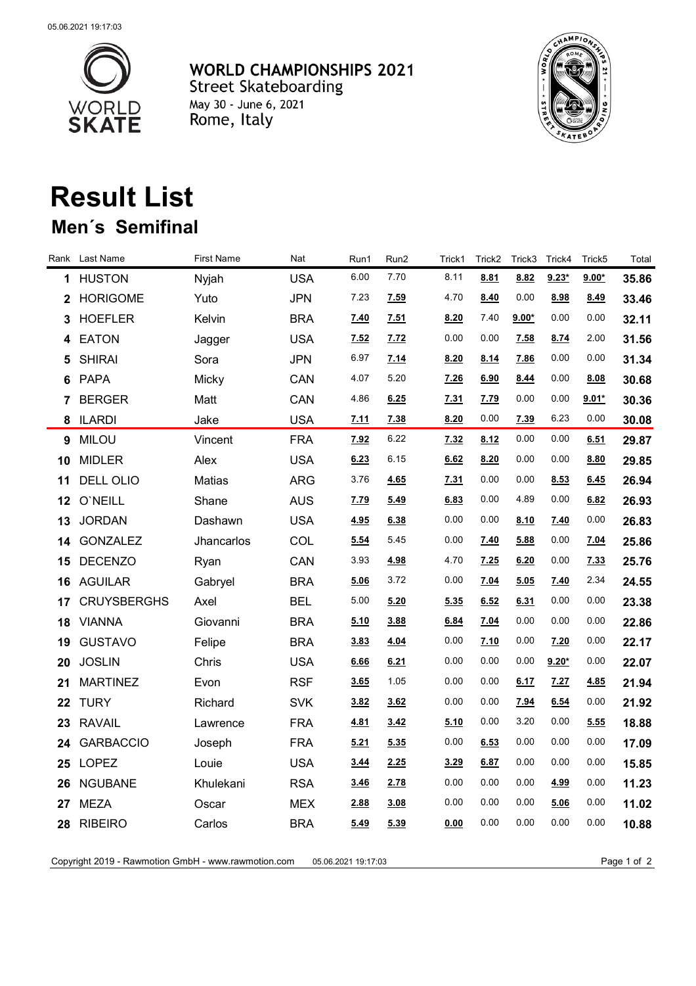

**WORLD CHAMPIONSHIPS 2021** Street Skateboarding May 30 - June 6, 2021 Rome, Italy



## **Result List**

## **Men´s Semifinal**

| Rank | Last Name          | <b>First Name</b> | Nat        | Run1        | Run2 | Trick1 | Trick <sub>2</sub> | Trick3      | Trick4  | Trick <sub>5</sub> | Total |
|------|--------------------|-------------------|------------|-------------|------|--------|--------------------|-------------|---------|--------------------|-------|
| 1.   | <b>HUSTON</b>      | Nyjah             | <b>USA</b> | 6.00        | 7.70 | 8.11   | 8.81               | 8.82        | $9.23*$ | $9.00*$            | 35.86 |
| 2    | <b>HORIGOME</b>    | Yuto              | <b>JPN</b> | 7.23        | 7.59 | 4.70   | 8.40               | 0.00        | 8.98    | 8.49               | 33.46 |
| 3    | <b>HOEFLER</b>     | Kelvin            | <b>BRA</b> | 7.40        | 7.51 | 8.20   | 7.40               | $9.00*$     | 0.00    | 0.00               | 32.11 |
| 4    | <b>EATON</b>       | Jagger            | <b>USA</b> | 7.52        | 7.72 | 0.00   | 0.00               | 7.58        | 8.74    | 2.00               | 31.56 |
| 5    | <b>SHIRAI</b>      | Sora              | <b>JPN</b> | 6.97        | 7.14 | 8.20   | <u>8.14</u>        | 7.86        | 0.00    | 0.00               | 31.34 |
| 6    | PAPA               | Micky             | CAN        | 4.07        | 5.20 | 7.26   | 6.90               | 8.44        | 0.00    | 8.08               | 30.68 |
| 7    | <b>BERGER</b>      | Matt              | CAN        | 4.86        | 6.25 | 7.31   | 7.79               | 0.00        | 0.00    | $9.01*$            | 30.36 |
| 8    | <b>ILARDI</b>      | Jake              | <b>USA</b> | 7.11        | 7.38 | 8.20   | 0.00               | 7.39        | 6.23    | 0.00               | 30.08 |
| 9    | <b>MILOU</b>       | Vincent           | <b>FRA</b> | 7.92        | 6.22 | 7.32   | 8.12               | 0.00        | 0.00    | 6.51               | 29.87 |
| 10   | <b>MIDLER</b>      | Alex              | <b>USA</b> | 6.23        | 6.15 | 6.62   | 8.20               | 0.00        | 0.00    | 8.80               | 29.85 |
| 11   | <b>DELL OLIO</b>   | Matias            | <b>ARG</b> | 3.76        | 4.65 | 7.31   | 0.00               | 0.00        | 8.53    | 6.45               | 26.94 |
| 12   | O'NEILL            | Shane             | <b>AUS</b> | 7.79        | 5.49 | 6.83   | 0.00               | 4.89        | 0.00    | 6.82               | 26.93 |
| 13   | <b>JORDAN</b>      | Dashawn           | <b>USA</b> | 4.95        | 6.38 | 0.00   | 0.00               | <u>8.10</u> | 7.40    | 0.00               | 26.83 |
| 14   | <b>GONZALEZ</b>    | Jhancarlos        | COL        | 5.54        | 5.45 | 0.00   | 7.40               | 5.88        | 0.00    | 7.04               | 25.86 |
| 15   | <b>DECENZO</b>     | Ryan              | CAN        | 3.93        | 4.98 | 4.70   | 7.25               | 6.20        | 0.00    | 7.33               | 25.76 |
| 16   | <b>AGUILAR</b>     | Gabryel           | <b>BRA</b> | 5.06        | 3.72 | 0.00   | 7.04               | 5.05        | 7.40    | 2.34               | 24.55 |
| 17   | <b>CRUYSBERGHS</b> | Axel              | <b>BEL</b> | 5.00        | 5.20 | 5.35   | 6.52               | 6.31        | 0.00    | 0.00               | 23.38 |
| 18   | <b>VIANNA</b>      | Giovanni          | <b>BRA</b> | 5.10        | 3.88 | 6.84   | 7.04               | 0.00        | 0.00    | 0.00               | 22.86 |
| 19   | <b>GUSTAVO</b>     | Felipe            | <b>BRA</b> | 3.83        | 4.04 | 0.00   | 7.10               | 0.00        | 7.20    | 0.00               | 22.17 |
| 20   | <b>JOSLIN</b>      | Chris             | <b>USA</b> | 6.66        | 6.21 | 0.00   | 0.00               | 0.00        | $9.20*$ | 0.00               | 22.07 |
| 21   | <b>MARTINEZ</b>    | Evon              | <b>RSF</b> | 3.65        | 1.05 | 0.00   | 0.00               | 6.17        | 7.27    | 4.85               | 21.94 |
| 22   | <b>TURY</b>        | Richard           | <b>SVK</b> | 3.82        | 3.62 | 0.00   | 0.00               | 7.94        | 6.54    | 0.00               | 21.92 |
| 23   | <b>RAVAIL</b>      | Lawrence          | <b>FRA</b> | 4.81        | 3.42 | 5.10   | 0.00               | 3.20        | 0.00    | 5.55               | 18.88 |
| 24   | <b>GARBACCIO</b>   | Joseph            | <b>FRA</b> | 5.21        | 5.35 | 0.00   | 6.53               | 0.00        | 0.00    | 0.00               | 17.09 |
| 25   | <b>LOPEZ</b>       | Louie             | <b>USA</b> | <u>3.44</u> | 2.25 | 3.29   | 6.87               | 0.00        | 0.00    | 0.00               | 15.85 |
| 26   | <b>NGUBANE</b>     | Khulekani         | <b>RSA</b> | <u>3.46</u> | 2.78 | 0.00   | 0.00               | 0.00        | 4.99    | 0.00               | 11.23 |
| 27   | <b>MEZA</b>        | Oscar             | <b>MEX</b> | 2.88        | 3.08 | 0.00   | 0.00               | 0.00        | 5.06    | 0.00               | 11.02 |
| 28   | <b>RIBEIRO</b>     | Carlos            | <b>BRA</b> | 5.49        | 5.39 | 0.00   | 0.00               | 0.00        | 0.00    | 0.00               | 10.88 |
|      |                    |                   |            |             |      |        |                    |             |         |                    |       |

Copyright 2019 - Rawmotion GmbH - www.rawmotion.com 05.06.2021 19:17:03 Page 1 of 2